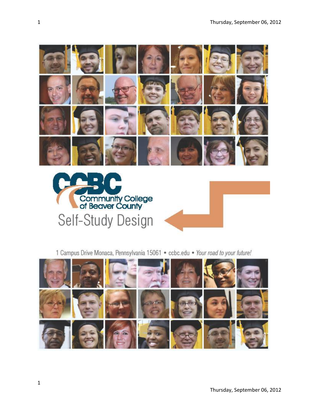



1 Campus Drive Monaca, Pennsylvania 15061 . ccbc.edu . Your road to your future!

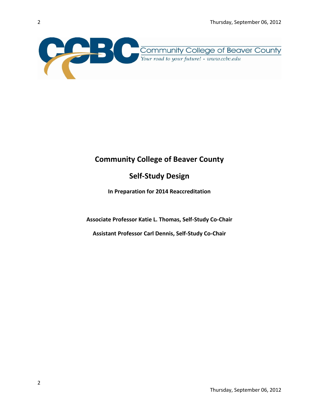

# **Community College of Beaver County**

## **Self-Study Design**

**In Preparation for 2014 Reaccreditation**

**Associate Professor Katie L. Thomas, Self-Study Co-Chair**

**Assistant Professor Carl Dennis, Self-Study Co-Chair**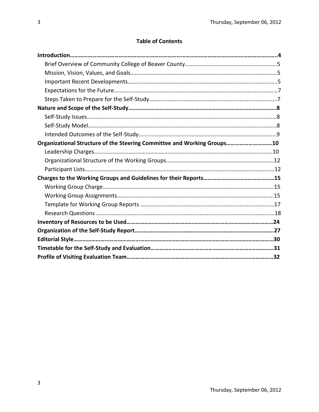## **Table of Contents**

| Organizational Structure of the Steering Committee and Working Groups10 |  |
|-------------------------------------------------------------------------|--|
|                                                                         |  |
|                                                                         |  |
|                                                                         |  |
|                                                                         |  |
|                                                                         |  |
|                                                                         |  |
|                                                                         |  |
|                                                                         |  |
|                                                                         |  |
|                                                                         |  |
|                                                                         |  |
|                                                                         |  |
|                                                                         |  |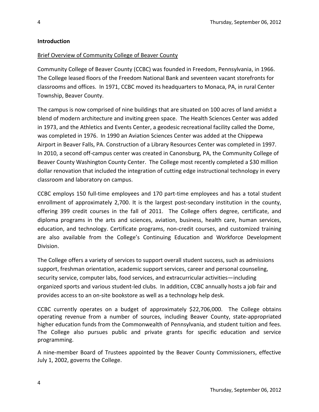#### **Introduction**

## Brief Overview of Community College of Beaver County

Community College of Beaver County (CCBC) was founded in Freedom, Pennsylvania, in 1966. The College leased floors of the Freedom National Bank and seventeen vacant storefronts for classrooms and offices. In 1971, CCBC moved its headquarters to Monaca, PA, in rural Center Township, Beaver County.

The campus is now comprised of nine buildings that are situated on 100 acres of land amidst a blend of modern architecture and inviting green space. The Health Sciences Center was added in 1973, and the Athletics and Events Center, a geodesic recreational facility called the Dome, was completed in 1976. In 1990 an Aviation Sciences Center was added at the Chippewa Airport in Beaver Falls, PA. Construction of a Library Resources Center was completed in 1997. In 2010, a second off-campus center was created in Canonsburg, PA, the Community College of Beaver County Washington County Center. The College most recently completed a \$30 million dollar renovation that included the integration of cutting edge instructional technology in every classroom and laboratory on campus.

CCBC employs 150 full-time employees and 170 part-time employees and has a total student enrollment of approximately 2,700. It is the largest post-secondary institution in the county, offering 399 credit courses in the fall of 2011. The College offers degree, certificate, and diploma programs in the arts and sciences, aviation, business, health care, human services, education, and technology. Certificate programs, non-credit courses, and customized training are also available from the College's Continuing Education and Workforce Development Division.

The College offers a variety of services to support overall student success, such as admissions support, freshman orientation, academic support services, career and personal counseling, security service, computer labs, food services, and extracurricular activities—including organized sports and various student-led clubs. In addition, CCBC annually hosts a job fair and provides access to an on-site bookstore as well as a technology help desk.

CCBC currently operates on a budget of approximately \$22,706,000. The College obtains operating revenue from a number of sources, including Beaver County, state-appropriated higher education funds from the Commonwealth of Pennsylvania, and student tuition and fees. The College also pursues public and private grants for specific education and service programming.

A nine-member Board of Trustees appointed by the Beaver County Commissioners, effective July 1, 2002, governs the College.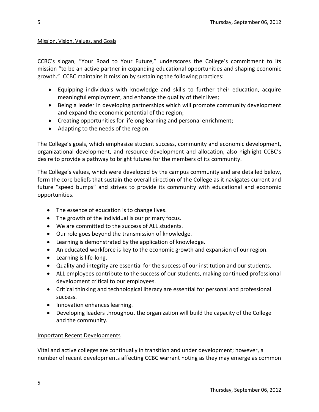#### Mission, Vision, Values, and Goals

CCBC's slogan, "Your Road to Your Future," underscores the College's commitment to its mission "to be an active partner in expanding educational opportunities and shaping economic growth." CCBC maintains it mission by sustaining the following practices:

- Equipping individuals with knowledge and skills to further their education, acquire meaningful employment, and enhance the quality of their lives;
- Being a leader in developing partnerships which will promote community development and expand the economic potential of the region;
- Creating opportunities for lifelong learning and personal enrichment;
- Adapting to the needs of the region.

The College's goals, which emphasize student success, community and economic development, organizational development, and resource development and allocation, also highlight CCBC's desire to provide a pathway to bright futures for the members of its community.

The College's values, which were developed by the campus community and are detailed below, form the core beliefs that sustain the overall direction of the College as it navigates current and future "speed bumps" and strives to provide its community with educational and economic opportunities.

- The essence of education is to change lives.
- The growth of the individual is our primary focus.
- We are committed to the success of ALL students.
- Our role goes beyond the transmission of knowledge.
- Learning is demonstrated by the application of knowledge.
- An educated workforce is key to the economic growth and expansion of our region.
- Learning is life-long.
- Quality and integrity are essential for the success of our institution and our students.
- ALL employees contribute to the success of our students, making continued professional development critical to our employees.
- Critical thinking and technological literacy are essential for personal and professional success.
- Innovation enhances learning.
- Developing leaders throughout the organization will build the capacity of the College and the community.

#### Important Recent Developments

Vital and active colleges are continually in transition and under development; however, a number of recent developments affecting CCBC warrant noting as they may emerge as common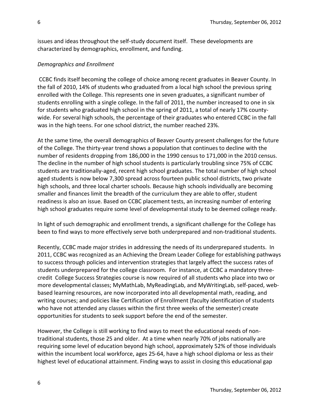issues and ideas throughout the self-study document itself. These developments are characterized by demographics, enrollment, and funding.

#### *Demographics and Enrollment*

CCBC finds itself becoming the college of choice among recent graduates in Beaver County. In the fall of 2010, 14% of students who graduated from a local high school the previous spring enrolled with the College. This represents one in seven graduates, a significant number of students enrolling with a single college. In the fall of 2011, the number increased to one in six for students who graduated high school in the spring of 2011, a total of nearly 17% countywide. For several high schools, the percentage of their graduates who entered CCBC in the fall was in the high teens. For one school district, the number reached 23%.

At the same time, the overall demographics of Beaver County present challenges for the future of the College. The thirty-year trend shows a population that continues to decline with the number of residents dropping from 186,000 in the 1990 census to 171,000 in the 2010 census. The decline in the number of high school students is particularly troubling since 75% of CCBC students are traditionally-aged, recent high school graduates. The total number of high school aged students is now below 7,300 spread across fourteen public school districts, two private high schools, and three local charter schools. Because high schools individually are becoming smaller and finances limit the breadth of the curriculum they are able to offer, student readiness is also an issue. Based on CCBC placement tests, an increasing number of entering high school graduates require some level of developmental study to be deemed college ready.

In light of such demographic and enrollment trends, a significant challenge for the College has been to find ways to more effectively serve both underprepared and non-traditional students.

Recently, CCBC made major strides in addressing the needs of its underprepared students. In 2011, CCBC was recognized as an Achieving the Dream Leader College for establishing pathways to success through policies and intervention strategies that largely affect the success rates of students underprepared for the college classroom. For instance, at CCBC a mandatory threecredit College Success Strategies course is now required of all students who place into two or more developmental classes; MyMathLab, MyReadingLab, and MyWritingLab, self-paced, webbased learning resources, are now incorporated into all developmental math, reading, and writing courses; and policies like Certification of Enrollment (faculty identification of students who have not attended any classes within the first three weeks of the semester) create opportunities for students to seek support before the end of the semester.

However, the College is still working to find ways to meet the educational needs of nontraditional students, those 25 and older. At a time when nearly 70% of jobs nationally are requiring some level of education beyond high school, approximately 52% of those individuals within the incumbent local workforce, ages 25-64, have a high school diploma or less as their highest level of educational attainment. Finding ways to assist in closing this educational gap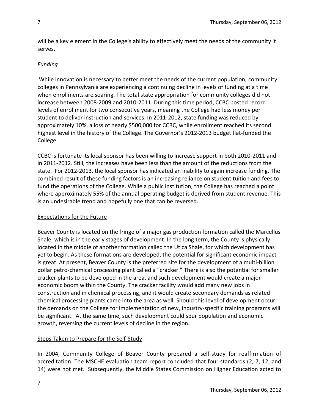will be a key element in the College's ability to effectively meet the needs of the community it serves.

## *Funding*

While innovation is necessary to better meet the needs of the current population, community colleges in Pennsylvania are experiencing a continuing decline in levels of funding at a time when enrollments are soaring. The total state appropriation for community colleges did not increase between 2008-2009 and 2010-2011. During this time period, CCBC posted record levels of enrollment for two consecutive years, meaning the College had less money per student to deliver instruction and services. In 2011-2012, state funding was reduced by approximately 10%, a loss of nearly \$500,000 for CCBC, while enrollment reached its second highest level in the history of the College. The Governor's 2012-2013 budget flat-funded the College.

CCBC is fortunate its local sponsor has been willing to increase support in both 2010-2011 and in 2011-2012. Still, the increases have been less than the amount of the reductions from the state. For 2012-2013, the local sponsor has indicated an inability to again increase funding. The combined result of these funding factors is an increasing reliance on student tuition and fees to fund the operations of the College. While a public institution, the College has reached a point where approximately 55% of the annual operating budget is derived from student revenue. This is an undesirable trend and hopefully one that can be reversed.

## Expectations for the Future

Beaver County is located on the fringe of a major gas production formation called the Marcellus Shale, which is in the early stages of development. In the long term, the County is physically located in the middle of another formation called the Utica Shale, for which development has yet to begin. As these formations are developed, the potential for significant economic impact is great. At present, Beaver County is the preferred site for the development of a multi-billion dollar petro-chemical processing plant called a "cracker." There is also the potential for smaller cracker plants to be developed in the area, and such development would create a major economic boom within the County. The cracker facility would add many new jobs in construction and in chemical processing, and it would create secondary demands as related chemical processing plants came into the area as well. Should this level of development occur, the demands on the College for implementation of new, industry-specific training programs will be significant. At the same time, such development could spur population and economic growth, reversing the current levels of decline in the region.

## Steps Taken to Prepare for the Self-Study

In 2004, Community College of Beaver County prepared a self-study for reaffirmation of accreditation. The MSCHE evaluation team report concluded that four standards (2, 7, 12, and 14) were not met. Subsequently, the Middle States Commission on Higher Education acted to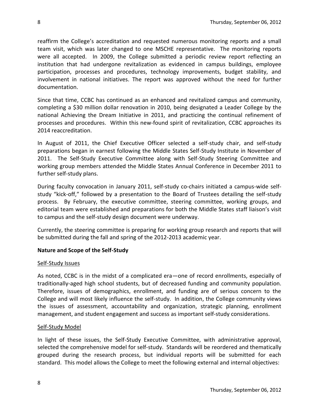reaffirm the College's accreditation and requested numerous monitoring reports and a small team visit, which was later changed to one MSCHE representative. The monitoring reports were all accepted. In 2009, the College submitted a periodic review report reflecting an institution that had undergone revitalization as evidenced in campus buildings, employee participation, processes and procedures, technology improvements, budget stability, and involvement in national initiatives. The report was approved without the need for further documentation.

Since that time, CCBC has continued as an enhanced and revitalized campus and community, completing a \$30 million dollar renovation in 2010, being designated a Leader College by the national Achieving the Dream Initiative in 2011, and practicing the continual refinement of processes and procedures. Within this new-found spirit of revitalization, CCBC approaches its 2014 reaccreditation.

In August of 2011, the Chief Executive Officer selected a self-study chair, and self-study preparations began in earnest following the Middle States Self-Study Institute in November of 2011. The Self-Study Executive Committee along with Self-Study Steering Committee and working group members attended the Middle States Annual Conference in December 2011 to further self-study plans.

During faculty convocation in January 2011, self-study co-chairs initiated a campus-wide selfstudy "kick-off," followed by a presentation to the Board of Trustees detailing the self-study process. By February, the executive committee, steering committee, working groups, and editorial team were established and preparations for both the Middle States staff liaison's visit to campus and the self-study design document were underway.

Currently, the steering committee is preparing for working group research and reports that will be submitted during the fall and spring of the 2012-2013 academic year.

#### **Nature and Scope of the Self-Study**

#### Self-Study Issues

As noted, CCBC is in the midst of a complicated era—one of record enrollments, especially of traditionally-aged high school students, but of decreased funding and community population. Therefore, issues of demographics, enrollment, and funding are of serious concern to the College and will most likely influence the self-study. In addition, the College community views the issues of assessment, accountability and organization, strategic planning, enrollment management, and student engagement and success as important self-study considerations.

#### Self-Study Model

In light of these issues, the Self-Study Executive Committee, with administrative approval, selected the comprehensive model for self-study. Standards will be reordered and thematically grouped during the research process, but individual reports will be submitted for each standard. This model allows the College to meet the following external and internal objectives: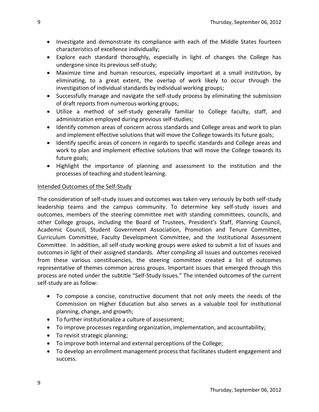- Investigate and demonstrate its compliance with each of the Middle States fourteen characteristics of excellence individually;
- Explore each standard thoroughly, especially in light of changes the College has undergone since its previous self-study;
- Maximize time and human resources, especially important at a small institution, by eliminating, to a great extent, the overlap of work likely to occur through the investigation of individual standards by individual working groups;
- Successfully manage and navigate the self-study process by eliminating the submission of draft reports from numerous working groups;
- Utilize a method of self-study generally familiar to College faculty, staff, and administration employed during previous self-studies;
- Identify common areas of concern across standards and College areas and work to plan and implement effective solutions that will move the College towards its future goals;
- Identify specific areas of concern in regards to specific standards and College areas and work to plan and implement effective solutions that will move the College towards its future goals;
- Highlight the importance of planning and assessment to the institution and the processes of teaching and student learning.

## Intended Outcomes of the Self-Study

The consideration of self-study issues and outcomes was taken very seriously by both self-study leadership teams and the campus community. To determine key self-study issues and outcomes, members of the steering committee met with standing committees, councils, and other College groups, including the Board of Trustees, President's Staff, Planning Council, Academic Council, Student Government Association, Promotion and Tenure Committee, Curriculum Committee, Faculty Development Committee, and the Institutional Assessment Committee. In addition, all self-study working groups were asked to submit a list of issues and outcomes in light of their assigned standards. After compiling all issues and outcomes received from these various constituencies, the steering committee created a list of outcomes representative of themes common across groups. Important issues that emerged through this process are noted under the subtitle "Self-Study Issues." The intended outcomes of the current self-study are as follow:

- To compose a concise, constructive document that not only meets the needs of the Commission on Higher Education but also serves as a valuable tool for institutional planning, change, and growth;
- To further institutionalize a culture of assessment;
- To improve processes regarding organization, implementation, and accountability;
- To revisit strategic planning;
- To improve both internal and external perceptions of the College;
- To develop an enrollment management process that facilitates student engagement and success.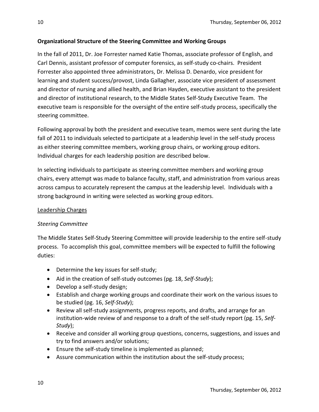## **Organizational Structure of the Steering Committee and Working Groups**

In the fall of 2011, Dr. Joe Forrester named Katie Thomas, associate professor of English, and Carl Dennis, assistant professor of computer forensics, as self-study co-chairs. President Forrester also appointed three administrators, Dr. Melissa D. Denardo, vice president for learning and student success/provost, Linda Gallagher, associate vice president of assessment and director of nursing and allied health, and Brian Hayden, executive assistant to the president and director of institutional research, to the Middle States Self-Study Executive Team. The executive team is responsible for the oversight of the entire self-study process, specifically the steering committee.

Following approval by both the president and executive team, memos were sent during the late fall of 2011 to individuals selected to participate at a leadership level in the self-study process as either steering committee members, working group chairs, or working group editors. Individual charges for each leadership position are described below.

In selecting individuals to participate as steering committee members and working group chairs, every attempt was made to balance faculty, staff, and administration from various areas across campus to accurately represent the campus at the leadership level. Individuals with a strong background in writing were selected as working group editors.

#### Leadership Charges

#### *Steering Committee*

The Middle States Self-Study Steering Committee will provide leadership to the entire self-study process. To accomplish this goal, committee members will be expected to fulfill the following duties:

- Determine the key issues for self-study;
- Aid in the creation of self-study outcomes (pg. 18, *Self-Study*);
- Develop a self-study design;
- Establish and charge working groups and coordinate their work on the various issues to be studied (pg. 16, *Self-Study*);
- Review all self-study assignments, progress reports, and drafts, and arrange for an institution-wide review of and response to a draft of the self-study report (pg. 15, *Self-Study*);
- Receive and consider all working group questions, concerns, suggestions, and issues and try to find answers and/or solutions;
- Ensure the self-study timeline is implemented as planned;
- Assure communication within the institution about the self-study process;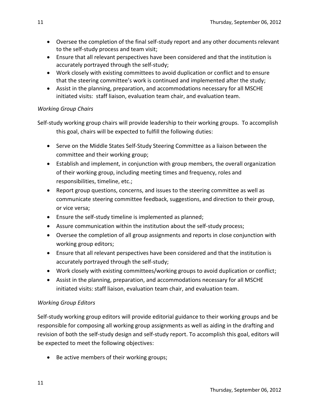- Oversee the completion of the final self-study report and any other documents relevant to the self-study process and team visit;
- Ensure that all relevant perspectives have been considered and that the institution is accurately portrayed through the self-study;
- Work closely with existing committees to avoid duplication or conflict and to ensure that the steering committee's work is continued and implemented after the study;
- Assist in the planning, preparation, and accommodations necessary for all MSCHE initiated visits: staff liaison, evaluation team chair, and evaluation team.

## *Working Group Chairs*

Self-study working group chairs will provide leadership to their working groups. To accomplish this goal, chairs will be expected to fulfill the following duties:

- Serve on the Middle States Self-Study Steering Committee as a liaison between the committee and their working group;
- Establish and implement, in conjunction with group members, the overall organization of their working group, including meeting times and frequency, roles and responsibilities, timeline, etc.;
- Report group questions, concerns, and issues to the steering committee as well as communicate steering committee feedback, suggestions, and direction to their group, or vice versa;
- Ensure the self-study timeline is implemented as planned;
- Assure communication within the institution about the self-study process;
- Oversee the completion of all group assignments and reports in close conjunction with working group editors;
- Ensure that all relevant perspectives have been considered and that the institution is accurately portrayed through the self-study;
- Work closely with existing committees/working groups to avoid duplication or conflict;
- Assist in the planning, preparation, and accommodations necessary for all MSCHE initiated visits: staff liaison, evaluation team chair, and evaluation team.

## *Working Group Editors*

Self-study working group editors will provide editorial guidance to their working groups and be responsible for composing all working group assignments as well as aiding in the drafting and revision of both the self-study design and self-study report. To accomplish this goal, editors will be expected to meet the following objectives:

Be active members of their working groups;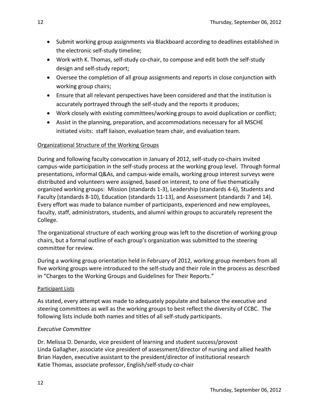- Submit working group assignments via Blackboard according to deadlines established in the electronic self-study timeline;
- Work with K. Thomas, self-study co-chair, to compose and edit both the self-study design and self-study report;
- Oversee the completion of all group assignments and reports in close conjunction with working group chairs;
- Ensure that all relevant perspectives have been considered and that the institution is accurately portrayed through the self-study and the reports it produces;
- Work closely with existing committees/working groups to avoid duplication or conflict;
- Assist in the planning, preparation, and accommodations necessary for all MSCHE initiated visits: staff liaison, evaluation team chair, and evaluation team.

## Organizational Structure of the Working Groups

During and following faculty convocation in January of 2012, self-study co-chairs invited campus-wide participation in the self-study process at the working group level. Through formal presentations, informal Q&As, and campus-wide emails, working group interest surveys were distributed and volunteers were assigned, based on interest, to one of five thematically organized working groups: Mission (standards 1-3), Leadership (standards 4-6), Students and Faculty (standards 8-10), Education (standards 11-13), and Assessment (standards 7 and 14). Every effort was made to balance number of participants, experienced and new employees, faculty, staff, administrators, students, and alumni within groups to accurately represent the College.

The organizational structure of each working group was left to the discretion of working group chairs, but a formal outline of each group's organization was submitted to the steering committee for review.

During a working group orientation held in February of 2012, working group members from all five working groups were introduced to the self-study and their role in the process as described in "Charges to the Working Groups and Guidelines for Their Reports."

#### Participant Lists

As stated, every attempt was made to adequately populate and balance the executive and steering committees as well as the working groups to best reflect the diversity of CCBC. The following lists include both names and titles of all self-study participants.

#### *Executive Committee*

Dr. Melissa D. Denardo, vice president of learning and student success/provost Linda Gallagher, associate vice president of assessment/director of nursing and allied health Brian Hayden, executive assistant to the president/director of institutional research Katie Thomas, associate professor, English/self-study co-chair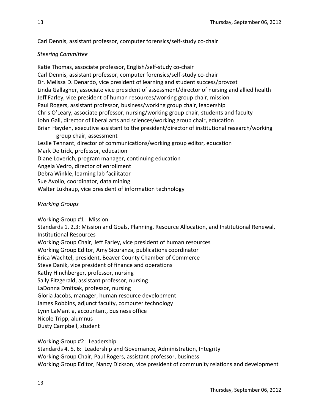Carl Dennis, assistant professor, computer forensics/self-study co-chair

## *Steering Committee*

Katie Thomas, associate professor, English/self-study co-chair Carl Dennis, assistant professor, computer forensics/self-study co-chair Dr. Melissa D. Denardo, vice president of learning and student success/provost Linda Gallagher, associate vice president of assessment/director of nursing and allied health Jeff Farley, vice president of human resources/working group chair, mission Paul Rogers, assistant professor, business/working group chair, leadership Chris O'Leary, associate professor, nursing/working group chair, students and faculty John Gall, director of liberal arts and sciences/working group chair, education Brian Hayden, executive assistant to the president/director of institutional research/working group chair, assessment Leslie Tennant, director of communications/working group editor, education Mark Deitrick, professor, education Diane Loverich, program manager, continuing education Angela Vedro, director of enrollment Debra Winkle, learning lab facilitator Sue Avolio, coordinator, data mining

Walter Lukhaup, vice president of information technology

## *Working Groups*

Working Group #1: Mission

Standards 1, 2,3: Mission and Goals, Planning, Resource Allocation, and Institutional Renewal, Institutional Resources

Working Group Chair, Jeff Farley, vice president of human resources

Working Group Editor, Amy Sicuranza, publications coordinator

Erica Wachtel, president, Beaver County Chamber of Commerce

Steve Danik, vice president of finance and operations

Kathy Hinchberger, professor, nursing

Sally Fitzgerald, assistant professor, nursing

LaDonna Dmitsak, professor, nursing

Gloria Jacobs, manager, human resource development

James Robbins, adjunct faculty, computer technology

Lynn LaMantia, accountant, business office

Nicole Tripp, alumnus

Dusty Campbell, student

Working Group #2: Leadership

Standards 4, 5, 6: Leadership and Governance, Administration, Integrity Working Group Chair, Paul Rogers, assistant professor, business Working Group Editor, Nancy Dickson, vice president of community relations and development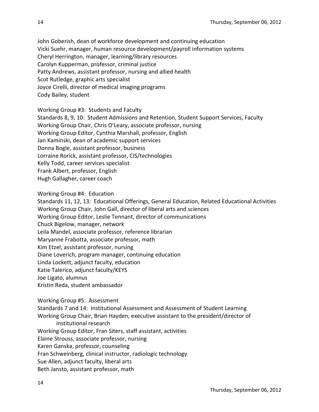John Goberish, dean of workforce development and continuing education Vicki Suehr, manager, human resource development/payroll information systems Cheryl Herrington, manager, learning/library resources Carolyn Kupperman, professor, criminal justice Patty Andrews, assistant professor, nursing and allied health Scot Rutledge, graphic arts specialist Joyce Cirelli, director of medical imaging programs Cody Bailey, student

Working Group #3: Students and Faculty Standards 8, 9, 10: Student Admissions and Retention, Student Support Services, Faculty Working Group Chair, Chris O'Leary, associate professor, nursing Working Group Editor, Cynthia Marshall, professor, English Jan Kaminski, dean of academic support services Donna Bogle, assistant professor, business Lorraine Rorick, assistant professor, CIS/technologies Kelly Todd, career services specialist Frank Albert, professor, English Hugh Gallagher, career coach

Working Group #4: Education Standards 11, 12, 13: Educational Offerings, General Education, Related Educational Activities Working Group Chair, John Gall, director of liberal arts and sciences Working Group Editor, Leslie Tennant, director of communications Chuck Bigelow, manager, network Leila Mandel, associate professor, reference librarian Maryanne Frabotta, associate professor, math Kim Etzel, assistant professor, nursing Diane Loverich, program manager, continuing education Linda Lockett, adjunct faculty, education Katie Talerico, adjunct faculty/KEYS Joe Ligato, alumnus Kristin Reda, student ambassador

Working Group #5: Assessment Standards 7 and 14: Institutional Assessment and Assessment of Student Learning Working Group Chair, Brian Hayden, executive assistant to the president/director of institutional research Working Group Editor, Fran Siters, staff assistant, activities Elaine Strouss, associate professor, nursing Karen Ganska, professor, counseling Fran Schweinberg, clinical instructor, radiologic technology Sue Allen, adjunct faculty, liberal arts Beth Jansto, assistant professor, math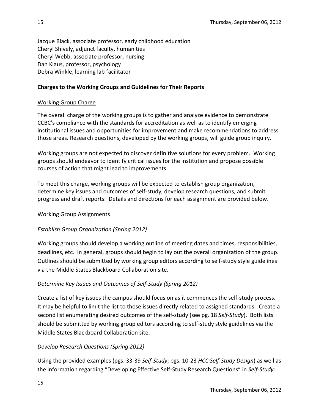Jacque Black, associate professor, early childhood education Cheryl Shively, adjunct faculty, humanities Cheryl Webb, associate professor, nursing Dan Klaus, professor, psychology Debra Winkle, learning lab facilitator

## **Charges to the Working Groups and Guidelines for Their Reports**

## Working Group Charge

The overall charge of the working groups is to gather and analyze evidence to demonstrate CCBC's compliance with the standards for accreditation as well as to identify emerging institutional issues and opportunities for improvement and make recommendations to address those areas. Research questions, developed by the working groups, will guide group inquiry.

Working groups are not expected to discover definitive solutions for every problem. Working groups should endeavor to identify critical issues for the institution and propose possible courses of action that might lead to improvements.

To meet this charge, working groups will be expected to establish group organization, determine key issues and outcomes of self-study, develop research questions, and submit progress and draft reports. Details and directions for each assignment are provided below.

#### Working Group Assignments

## *Establish Group Organization (Spring 2012)*

Working groups should develop a working outline of meeting dates and times, responsibilities, deadlines, etc. In general, groups should begin to lay out the overall organization of the group. Outlines should be submitted by working group editors according to self-study style guidelines via the Middle States Blackboard Collaboration site.

#### *Determine Key Issues and Outcomes of Self-Study (Spring 2012)*

Create a list of key issues the campus should focus on as it commences the self-study process. It may be helpful to limit the list to those issues directly related to assigned standards. Create a second list enumerating desired outcomes of the self-study (see pg. 18 *Self-Study*). Both lists should be submitted by working group editors according to self-study style guidelines via the Middle States Blackboard Collaboration site.

#### *Develop Research Questions (Spring 2012)*

Using the provided examples (pgs. 33-39 *Self-Study*; pgs. 10-23 *HCC Self-Study Design*) as well as the information regarding "Developing Effective Self-Study Research Questions" in *Self-Study:*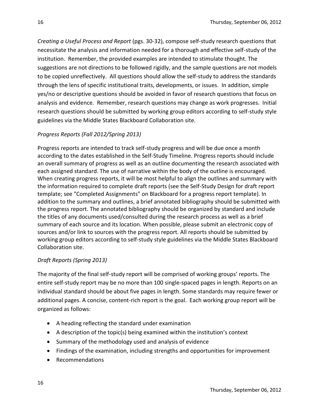*Creating a Useful Process and Report* (pgs. 30-32), compose self-study research questions that necessitate the analysis and information needed for a thorough and effective self-study of the institution. Remember, the provided examples are intended to stimulate thought. The suggestions are not directions to be followed rigidly, and the sample questions are not models to be copied unreflectively. All questions should allow the self-study to address the standards through the lens of specific institutional traits, developments, or issues. In addition, simple yes/no or descriptive questions should be avoided in favor of research questions that focus on analysis and evidence. Remember, research questions may change as work progresses. Initial research questions should be submitted by working group editors according to self-study style guidelines via the Middle States Blackboard Collaboration site.

#### *Progress Reports (Fall 2012/Spring 2013)*

Progress reports are intended to track self-study progress and will be due once a month according to the dates established in the Self-Study Timeline. Progress reports should include an overall summary of progress as well as an outline documenting the research associated with each assigned standard. The use of narrative within the body of the outline is encouraged. When creating progress reports, it will be most helpful to align the outlines and summary with the information required to complete draft reports (see the Self-Study Design for draft report template; see "Completed Assignments" on Blackboard for a progress report template). In addition to the summary and outlines, a brief annotated bibliography should be submitted with the progress report. The annotated bibliography should be organized by standard and include the titles of any documents used/consulted during the research process as well as a brief summary of each source and its location. When possible, please submit an electronic copy of sources and/or link to sources with the progress report. All reports should be submitted by working group editors according to self-study style guidelines via the Middle States Blackboard Collaboration site.

#### *Draft Reports (Spring 2013)*

The majority of the final self-study report will be comprised of working groups' reports. The entire self-study report may be no more than 100 single-spaced pages in length. Reports on an individual standard should be about five pages in length. Some standards may require fewer or additional pages. A concise, content-rich report is the goal. Each working group report will be organized as follows:

- A heading reflecting the standard under examination
- A description of the topic(s) being examined within the institution's context
- Summary of the methodology used and analysis of evidence
- Findings of the examination, including strengths and opportunities for improvement
- Recommendations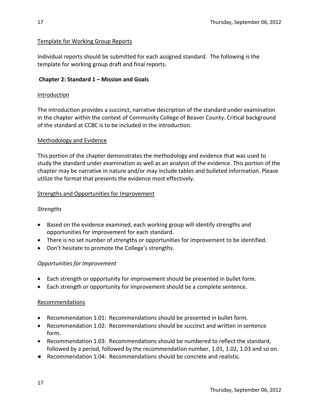## Template for Working Group Reports

Individual reports should be submitted for each assigned standard. The following is the template for working group draft and final reports.

## **Chapter 2: Standard 1 – Mission and Goals**

#### Introduction

The introduction provides a succinct, narrative description of the standard under examination in the chapter within the context of Community College of Beaver County. Critical background of the standard at CCBC is to be included in the introduction.

## Methodology and Evidence

This portion of the chapter demonstrates the methodology and evidence that was used to study the standard under examination as well as an analysis of the evidence. This portion of the chapter may be narrative in nature and/or may include tables and bulleted information. Please utilize the format that presents the evidence most effectively.

#### **Strengths and Opportunities for Improvement**

## *Strengths*

- Based on the evidence examined, each working group will identify strengths and opportunities for improvement for each standard.
- There is no set number of strengths or opportunities for improvement to be identified.
- Don't hesitate to promote the College's strengths.

## *Opportunities for Improvement*

- Each strength or opportunity for improvement should be presented in bullet form.
- Each strength or opportunity for improvement should be a complete sentence.

## Recommendations

- Recommendation 1.01: Recommendations should be presented in bullet form.
- Recommendation 1.02: Recommendations should be succinct and written in sentence form.
- Recommendation 1.03: Recommendations should be numbered to reflect the standard, followed by a period, followed by the recommendation number, 1.01, 1.02, 1.03 and so on.
- Recommendation 1.04: Recommendations should be concrete and realistic.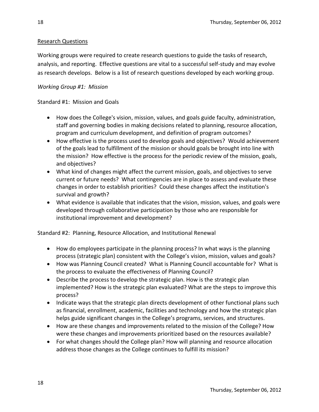## Research Questions

Working groups were required to create research questions to guide the tasks of research, analysis, and reporting. Effective questions are vital to a successful self-study and may evolve as research develops. Below is a list of research questions developed by each working group.

#### *Working Group #1: Mission*

#### Standard #1: Mission and Goals

- How does the College's vision, mission, values, and goals guide faculty, administration, staff and governing bodies in making decisions related to planning, resource allocation, program and curriculum development, and definition of program outcomes?
- How effective is the process used to develop goals and objectives? Would achievement of the goals lead to fulfillment of the mission or should goals be brought into line with the mission? How effective is the process for the periodic review of the mission, goals, and objectives?
- What kind of changes might affect the current mission, goals, and objectives to serve current or future needs? What contingencies are in place to assess and evaluate these changes in order to establish priorities? Could these changes affect the institution's survival and growth?
- What evidence is available that indicates that the vision, mission, values, and goals were developed through collaborative participation by those who are responsible for institutional improvement and development?

Standard #2: Planning, Resource Allocation, and Institutional Renewal

- How do employees participate in the planning process? In what ways is the planning process (strategic plan) consistent with the College's vision, mission, values and goals?
- How was Planning Council created? What is Planning Council accountable for? What is the process to evaluate the effectiveness of Planning Council?
- Describe the process to develop the strategic plan. How is the strategic plan implemented? How is the strategic plan evaluated? What are the steps to improve this process?
- Indicate ways that the strategic plan directs development of other functional plans such as financial, enrollment, academic, facilities and technology and how the strategic plan helps guide significant changes in the College's programs, services, and structures.
- How are these changes and improvements related to the mission of the College? How were these changes and improvements prioritized based on the resources available?
- For what changes should the College plan? How will planning and resource allocation address those changes as the College continues to fulfill its mission?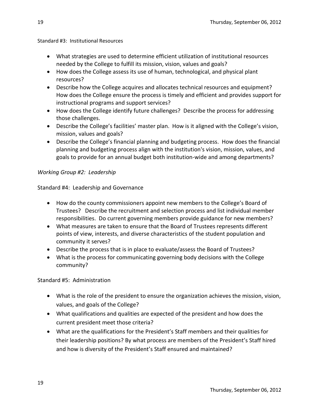#### Standard #3: Institutional Resources

- What strategies are used to determine efficient utilization of institutional resources needed by the College to fulfill its mission, vision, values and goals?
- How does the College assess its use of human, technological, and physical plant resources?
- Describe how the College acquires and allocates technical resources and equipment? How does the College ensure the process is timely and efficient and provides support for instructional programs and support services?
- How does the College identify future challenges? Describe the process for addressing those challenges.
- Describe the College's facilities' master plan. How is it aligned with the College's vision, mission, values and goals?
- Describe the College's financial planning and budgeting process. How does the financial planning and budgeting process align with the institution's vision, mission, values, and goals to provide for an annual budget both institution-wide and among departments?

## *Working Group #2: Leadership*

Standard #4: Leadership and Governance

- How do the county commissioners appoint new members to the College's Board of Trustees? Describe the recruitment and selection process and list individual member responsibilities. Do current governing members provide guidance for new members?
- What measures are taken to ensure that the Board of Trustees represents different points of view, interests, and diverse characteristics of the student population and community it serves?
- Describe the process that is in place to evaluate/assess the Board of Trustees?
- What is the process for communicating governing body decisions with the College community?

Standard #5: Administration

- What is the role of the president to ensure the organization achieves the mission, vision, values, and goals of the College?
- What qualifications and qualities are expected of the president and how does the current president meet those criteria?
- What are the qualifications for the President's Staff members and their qualities for their leadership positions? By what process are members of the President's Staff hired and how is diversity of the President's Staff ensured and maintained?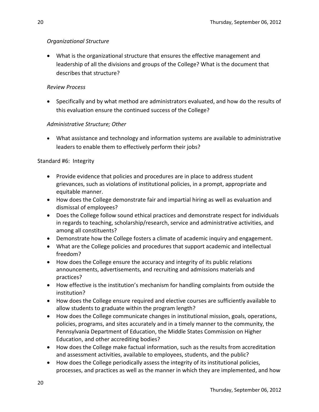## *Organizational Structure*

 What is the organizational structure that ensures the effective management and leadership of all the divisions and groups of the College? What is the document that describes that structure?

## *Review Process*

 Specifically and by what method are administrators evaluated, and how do the results of this evaluation ensure the continued success of the College?

## *Administrative Structure; Other*

 What assistance and technology and information systems are available to administrative leaders to enable them to effectively perform their jobs?

## Standard #6: Integrity

- Provide evidence that policies and procedures are in place to address student grievances, such as violations of institutional policies, in a prompt, appropriate and equitable manner.
- How does the College demonstrate fair and impartial hiring as well as evaluation and dismissal of employees?
- Does the College follow sound ethical practices and demonstrate respect for individuals in regards to teaching, scholarship/research, service and administrative activities, and among all constituents?
- Demonstrate how the College fosters a climate of academic inquiry and engagement.
- What are the College policies and procedures that support academic and intellectual freedom?
- How does the College ensure the accuracy and integrity of its public relations announcements, advertisements, and recruiting and admissions materials and practices?
- How effective is the institution's mechanism for handling complaints from outside the institution?
- How does the College ensure required and elective courses are sufficiently available to allow students to graduate within the program length?
- How does the College communicate changes in institutional mission, goals, operations, policies, programs, and sites accurately and in a timely manner to the community, the Pennsylvania Department of Education, the Middle States Commission on Higher Education, and other accrediting bodies?
- How does the College make factual information, such as the results from accreditation and assessment activities, available to employees, students, and the public?
- How does the College periodically assess the integrity of its institutional policies, processes, and practices as well as the manner in which they are implemented, and how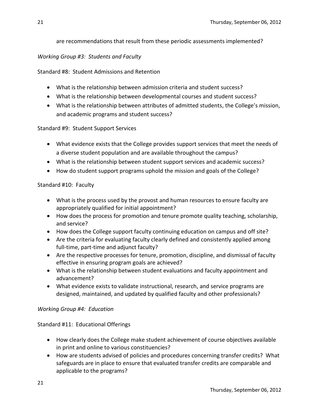## are recommendations that result from these periodic assessments implemented?

#### *Working Group #3: Students and Faculty*

## Standard #8: Student Admissions and Retention

- What is the relationship between admission criteria and student success?
- What is the relationship between developmental courses and student success?
- What is the relationship between attributes of admitted students, the College's mission, and academic programs and student success?

## Standard #9: Student Support Services

- What evidence exists that the College provides support services that meet the needs of a diverse student population and are available throughout the campus?
- What is the relationship between student support services and academic success?
- How do student support programs uphold the mission and goals of the College?

## Standard #10: Faculty

- What is the process used by the provost and human resources to ensure faculty are appropriately qualified for initial appointment?
- How does the process for promotion and tenure promote quality teaching, scholarship, and service?
- How does the College support faculty continuing education on campus and off site?
- Are the criteria for evaluating faculty clearly defined and consistently applied among full-time, part-time and adjunct faculty?
- Are the respective processes for tenure, promotion, discipline, and dismissal of faculty effective in ensuring program goals are achieved?
- What is the relationship between student evaluations and faculty appointment and advancement?
- What evidence exists to validate instructional, research, and service programs are designed, maintained, and updated by qualified faculty and other professionals?

## *Working Group #4: Education*

## Standard #11: Educational Offerings

- How clearly does the College make student achievement of course objectives available in print and online to various constituencies?
- How are students advised of policies and procedures concerning transfer credits? What safeguards are in place to ensure that evaluated transfer credits are comparable and applicable to the programs?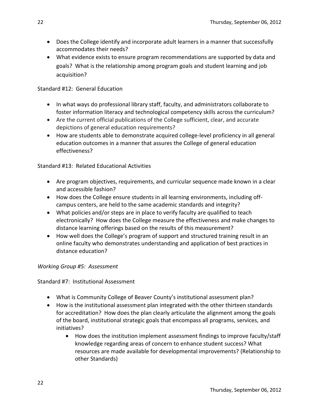- Does the College identify and incorporate adult learners in a manner that successfully accommodates their needs?
- What evidence exists to ensure program recommendations are supported by data and goals? What is the relationship among program goals and student learning and job acquisition?

## Standard #12: General Education

- In what ways do professional library staff, faculty, and administrators collaborate to foster information literacy and technological competency skills across the curriculum?
- Are the current official publications of the College sufficient, clear, and accurate depictions of general education requirements?
- How are students able to demonstrate acquired college-level proficiency in all general education outcomes in a manner that assures the College of general education effectiveness?

## Standard #13: Related Educational Activities

- Are program objectives, requirements, and curricular sequence made known in a clear and accessible fashion?
- How does the College ensure students in all learning environments, including offcampus centers, are held to the same academic standards and integrity?
- What policies and/or steps are in place to verify faculty are qualified to teach electronically? How does the College measure the effectiveness and make changes to distance learning offerings based on the results of this measurement?
- How well does the College's program of support and structured training result in an online faculty who demonstrates understanding and application of best practices in distance education?

#### *Working Group #5: Assessment*

Standard #7: Institutional Assessment

- What is Community College of Beaver County's institutional assessment plan?
- How is the institutional assessment plan integrated with the other thirteen standards for accreditation? How does the plan clearly articulate the alignment among the goals of the board, institutional strategic goals that encompass all programs, services, and initiatives?
	- How does the institution implement assessment findings to improve faculty/staff knowledge regarding areas of concern to enhance student success? What resources are made available for developmental improvements? (Relationship to other Standards)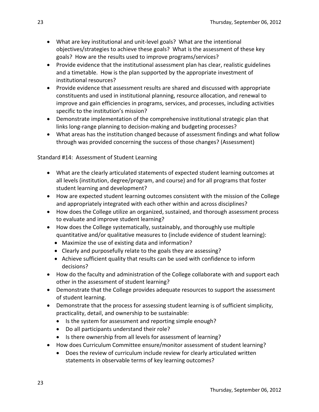- What are key institutional and unit-level goals? What are the intentional objectives/strategies to achieve these goals? What is the assessment of these key goals? How are the results used to improve programs/services?
- Provide evidence that the institutional assessment plan has clear, realistic guidelines and a timetable. How is the plan supported by the appropriate investment of institutional resources?
- Provide evidence that assessment results are shared and discussed with appropriate constituents and used in institutional planning, resource allocation, and renewal to improve and gain efficiencies in programs, services, and processes, including activities specific to the institution's mission?
- Demonstrate implementation of the comprehensive institutional strategic plan that links long-range planning to decision-making and budgeting processes?
- What areas has the institution changed because of assessment findings and what follow through was provided concerning the success of those changes? (Assessment)

## Standard #14: Assessment of Student Learning

- What are the clearly articulated statements of expected student learning outcomes at all levels (institution, degree/program, and course) and for all programs that foster student learning and development?
- How are expected student learning outcomes consistent with the mission of the College and appropriately integrated with each other within and across disciplines?
- How does the College utilize an organized, sustained, and thorough assessment process to evaluate and improve student learning?
- How does the College systematically, sustainably, and thoroughly use multiple quantitative and/or qualitative measures to (include evidence of student learning):
	- Maximize the use of existing data and information?
	- Clearly and purposefully relate to the goals they are assessing?
	- Achieve sufficient quality that results can be used with confidence to inform decisions?
- How do the faculty and administration of the College collaborate with and support each other in the assessment of student learning?
- Demonstrate that the College provides adequate resources to support the assessment of student learning.
- Demonstrate that the process for assessing student learning is of sufficient simplicity, practicality, detail, and ownership to be sustainable:
	- Is the system for assessment and reporting simple enough?
	- Do all participants understand their role?
	- Is there ownership from all levels for assessment of learning?
- How does Curriculum Committee ensure/monitor assessment of student learning?
	- Does the review of curriculum include review for clearly articulated written statements in observable terms of key learning outcomes?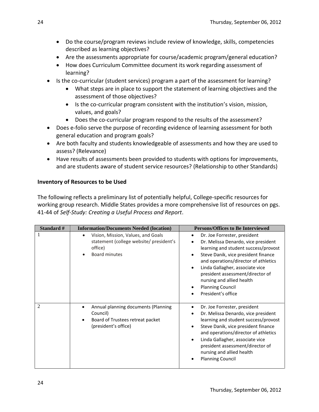- Do the course/program reviews include review of knowledge, skills, competencies described as learning objectives?
- Are the assessments appropriate for course/academic program/general education?
- How does Curriculum Committee document its work regarding assessment of learning?
- Is the co-curricular (student services) program a part of the assessment for learning?
	- What steps are in place to support the statement of learning objectives and the assessment of those objectives?
	- Is the co-curricular program consistent with the institution's vision, mission, values, and goals?
	- Does the co-curricular program respond to the results of the assessment?
- Does e-folio serve the purpose of recording evidence of learning assessment for both general education and program goals?
- Are both faculty and students knowledgeable of assessments and how they are used to assess? (Relevance)
- Have results of assessments been provided to students with options for improvements, and are students aware of student service resources? (Relationship to other Standards)

## **Inventory of Resources to be Used**

The following reflects a preliminary list of potentially helpful, College-specific resources for working group research. Middle States provides a more comprehensive list of resources on pgs. 41-44 of *Self-Study: Creating a Useful Process and Report*.

| Standard #     | <b>Information/Documents Needed (location)</b>                                                                         | <b>Persons/Offices to Be Interviewed</b>                                                                                                                                                                                                                                                                                                        |
|----------------|------------------------------------------------------------------------------------------------------------------------|-------------------------------------------------------------------------------------------------------------------------------------------------------------------------------------------------------------------------------------------------------------------------------------------------------------------------------------------------|
|                | Vision, Mission, Values, and Goals<br>$\bullet$<br>statement (college website/ president's<br>office)<br>Board minutes | Dr. Joe Forrester, president<br>Dr. Melissa Denardo, vice president<br>learning and student success/provost<br>Steve Danik, vice president finance<br>and operations/director of athletics<br>Linda Gallagher, associate vice<br>president assessment/director of<br>nursing and allied health<br><b>Planning Council</b><br>President's office |
| $\overline{c}$ | Annual planning documents (Planning<br>Council)<br>Board of Trustees retreat packet<br>(president's office)            | Dr. Joe Forrester, president<br>Dr. Melissa Denardo, vice president<br>learning and student success/provost<br>Steve Danik, vice president finance<br>and operations/director of athletics<br>Linda Gallagher, associate vice<br>president assessment/director of<br>nursing and allied health<br><b>Planning Council</b>                       |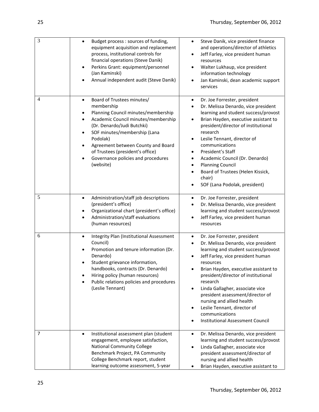| 3              | Budget process: sources of funding,<br>equipment acquisition and replacement<br>process, institutional controls for<br>financial operations (Steve Danik)<br>Perkins Grant: equipment/personnel<br>$\bullet$<br>(Jan Kaminski)<br>Annual independent audit (Steve Danik)                                                                                                                    | Steve Danik, vice president finance<br>and operations/director of athletics<br>Jeff Farley, vice president human<br>resources<br>Walter Lukhaup, vice president<br>٠<br>information technology<br>Jan Kaminski, dean academic support<br>$\bullet$<br>services                                                                                                                                                                                                                                                    |
|----------------|---------------------------------------------------------------------------------------------------------------------------------------------------------------------------------------------------------------------------------------------------------------------------------------------------------------------------------------------------------------------------------------------|-------------------------------------------------------------------------------------------------------------------------------------------------------------------------------------------------------------------------------------------------------------------------------------------------------------------------------------------------------------------------------------------------------------------------------------------------------------------------------------------------------------------|
| $\overline{4}$ | Board of Trustees minutes/<br>$\bullet$<br>membership<br>Planning Council minutes/membership<br>٠<br>Academic Council minutes/membership<br>$\bullet$<br>(Dr. Denardo/Judi Butchki)<br>SOF minutes/membership (Lana<br>$\bullet$<br>Podolak)<br>Agreement between County and Board<br>٠<br>of Trustees (president's office)<br>Governance policies and procedures<br>$\bullet$<br>(website) | Dr. Joe Forrester, president<br>$\bullet$<br>Dr. Melissa Denardo, vice president<br>$\bullet$<br>learning and student success/provost<br>Brian Hayden, executive assistant to<br>$\bullet$<br>president/director of institutional<br>research<br>Leslie Tennant, director of<br>٠<br>communications<br>President's Staff<br>٠<br>Academic Council (Dr. Denardo)<br>$\bullet$<br><b>Planning Council</b><br>$\bullet$<br>Board of Trustees (Helen Kissick,<br>$\bullet$<br>chair)<br>SOF (Lana Podolak, president) |
| 5              | Administration/staff job descriptions<br>$\bullet$<br>(president's office)<br>Organizational chart (president's office)<br>Administration/staff evaluations<br>(human resources)                                                                                                                                                                                                            | Dr. Joe Forrester, president<br>٠<br>Dr. Melissa Denardo, vice president<br>$\bullet$<br>learning and student success/provost<br>Jeff Farley, vice president human<br>$\bullet$<br>resources                                                                                                                                                                                                                                                                                                                      |
| 6              | Integrity Plan (Institutional Assessment<br>$\bullet$<br>Council)<br>Promotion and tenure information (Dr.<br>Denardo)<br>Student grievance information,<br>handbooks, contracts (Dr. Denardo)<br>Hiring policy (human resources)<br>Public relations policies and procedures<br>(Leslie Tennant)                                                                                           | Dr. Joe Forrester, president<br>$\bullet$<br>Dr. Melissa Denardo, vice president<br>$\bullet$<br>learning and student success/provost<br>Jeff Farley, vice president human<br>$\bullet$<br>resources<br>Brian Hayden, executive assistant to<br>president/director of institutional<br>research<br>Linda Gallagher, associate vice<br>president assessment/director of<br>nursing and allied health<br>Leslie Tennant, director of<br>$\bullet$<br>communications<br><b>Institutional Assessment Council</b><br>٠ |
| $\overline{7}$ | Institutional assessment plan (student<br>$\bullet$<br>engagement, employee satisfaction,<br><b>National Community College</b><br>Benchmark Project, PA Community<br>College Benchmark report, student<br>learning outcome assessment, 5-year                                                                                                                                               | Dr. Melissa Denardo, vice president<br>$\bullet$<br>learning and student success/provost<br>Linda Gallagher, associate vice<br>president assessment/director of<br>nursing and allied health<br>Brian Hayden, executive assistant to                                                                                                                                                                                                                                                                              |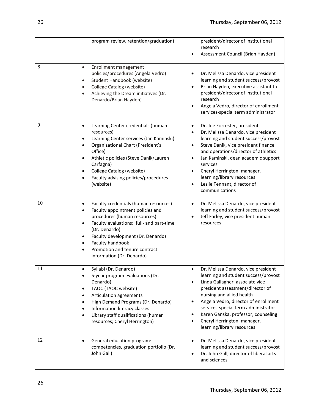|    | program review, retention/graduation)                                                                                                                                                                                                                                                                                                                          | president/director of institutional<br>research<br>Assessment Council (Brian Hayden)                                                                                                                                                                                                                                                                                                                                |
|----|----------------------------------------------------------------------------------------------------------------------------------------------------------------------------------------------------------------------------------------------------------------------------------------------------------------------------------------------------------------|---------------------------------------------------------------------------------------------------------------------------------------------------------------------------------------------------------------------------------------------------------------------------------------------------------------------------------------------------------------------------------------------------------------------|
| 8  | Enrollment management<br>$\bullet$<br>policies/procedures (Angela Vedro)<br>Student Handbook (website)<br>$\bullet$<br>College Catalog (website)<br>$\bullet$<br>Achieving the Dream initiatives (Dr.<br>$\bullet$<br>Denardo/Brian Hayden)                                                                                                                    | Dr. Melissa Denardo, vice president<br>learning and student success/provost<br>Brian Hayden, executive assistant to<br>٠<br>president/director of institutional<br>research<br>Angela Vedro, director of enrollment<br>٠<br>services-special term administrator                                                                                                                                                     |
| 9  | Learning Center credentials (human<br>$\bullet$<br>resources)<br>Learning Center services (Jan Kaminski)<br>$\bullet$<br>Organizational Chart (President's<br>Office)<br>Athletic policies (Steve Danik/Lauren<br>$\bullet$<br>Carfagna)<br>College Catalog (website)<br>Faculty advising policies/procedures<br>(website)                                     | Dr. Joe Forrester, president<br>$\bullet$<br>Dr. Melissa Denardo, vice president<br>٠<br>learning and student success/provost<br>Steve Danik, vice president finance<br>$\bullet$<br>and operations/director of athletics<br>Jan Kaminski, dean academic support<br>٠<br>services<br>Cheryl Herrington, manager,<br>٠<br>learning/library resources<br>Leslie Tennant, director of<br>communications                |
| 10 | Faculty credentials (human resources)<br>$\bullet$<br>Faculty appointment policies and<br>procedures (human resources)<br>Faculty evaluations: full- and part-time<br>$\bullet$<br>(Dr. Denardo)<br>Faculty development (Dr. Denardo)<br>$\bullet$<br>Faculty handbook<br>$\bullet$<br>Promotion and tenure contract<br>$\bullet$<br>information (Dr. Denardo) | Dr. Melissa Denardo, vice president<br>$\bullet$<br>learning and student success/provost<br>Jeff Farley, vice president human<br>resources                                                                                                                                                                                                                                                                          |
| 11 | Syllabi (Dr. Denardo)<br>$\bullet$<br>5-year program evaluations (Dr.<br>Denardo)<br>TAOC (TAOC website)<br>٠<br>Articulation agreements<br>High Demand Programs (Dr. Denardo)<br>$\bullet$<br>Information literacy classes<br>Library staff qualifications (human<br>$\bullet$<br>resources; Cheryl Herrington)                                               | Dr. Melissa Denardo, vice president<br>$\bullet$<br>learning and student success/provost<br>Linda Gallagher, associate vice<br>$\bullet$<br>president assessment/director of<br>nursing and allied health<br>Angela Vedro, director of enrollment<br>٠<br>services-special term administrator<br>Karen Ganska, professor, counseling<br>٠<br>Cheryl Herrington, manager,<br>$\bullet$<br>learning/library resources |
| 12 | General education program:<br>$\bullet$<br>competencies, graduation portfolio (Dr.<br>John Gall)                                                                                                                                                                                                                                                               | Dr. Melissa Denardo, vice president<br>$\bullet$<br>learning and student success/provost<br>Dr. John Gall, director of liberal arts<br>٠<br>and sciences                                                                                                                                                                                                                                                            |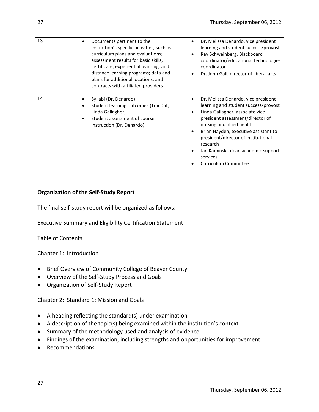| 13 | Documents pertinent to the<br>$\bullet$<br>institution's specific activities, such as<br>curriculum plans and evaluations;<br>assessment results for basic skills,<br>certificate, experiential learning, and<br>distance learning programs; data and<br>plans for additional locations; and<br>contracts with affiliated providers | Dr. Melissa Denardo, vice president<br>$\bullet$<br>learning and student success/provost<br>Ray Schweinberg, Blackboard<br>$\bullet$<br>coordinator/educational technologies<br>coordinator<br>Dr. John Gall, director of liberal arts<br>$\bullet$                                                                                                                                                       |
|----|-------------------------------------------------------------------------------------------------------------------------------------------------------------------------------------------------------------------------------------------------------------------------------------------------------------------------------------|-----------------------------------------------------------------------------------------------------------------------------------------------------------------------------------------------------------------------------------------------------------------------------------------------------------------------------------------------------------------------------------------------------------|
| 14 | Syllabi (Dr. Denardo)<br>$\bullet$<br>Student learning outcomes (TracDat;<br>Linda Gallagher)<br>Student assessment of course<br>$\bullet$<br>instruction (Dr. Denardo)                                                                                                                                                             | Dr. Melissa Denardo, vice president<br>$\bullet$<br>learning and student success/provost<br>Linda Gallagher, associate vice<br>$\bullet$<br>president assessment/director of<br>nursing and allied health<br>Brian Hayden, executive assistant to<br>$\bullet$<br>president/director of institutional<br>research<br>Jan Kaminski, dean academic support<br>$\bullet$<br>services<br>Curriculum Committee |

#### **Organization of the Self-Study Report**

The final self-study report will be organized as follows:

Executive Summary and Eligibility Certification Statement

Table of Contents

Chapter 1: Introduction

- Brief Overview of Community College of Beaver County
- Overview of the Self-Study Process and Goals
- Organization of Self-Study Report

Chapter 2: Standard 1: Mission and Goals

- A heading reflecting the standard(s) under examination
- A description of the topic(s) being examined within the institution's context
- Summary of the methodology used and analysis of evidence
- Findings of the examination, including strengths and opportunities for improvement
- Recommendations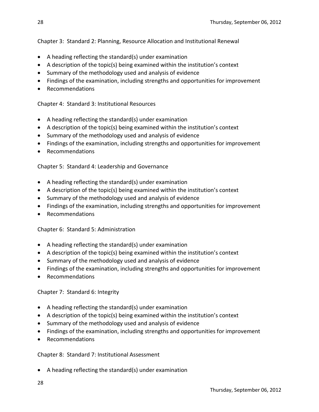Chapter 3: Standard 2: Planning, Resource Allocation and Institutional Renewal

- A heading reflecting the standard(s) under examination
- A description of the topic(s) being examined within the institution's context
- Summary of the methodology used and analysis of evidence
- Findings of the examination, including strengths and opportunities for improvement
- Recommendations

#### Chapter 4: Standard 3: Institutional Resources

- A heading reflecting the standard(s) under examination
- A description of the topic(s) being examined within the institution's context
- Summary of the methodology used and analysis of evidence
- Findings of the examination, including strengths and opportunities for improvement
- Recommendations

#### Chapter 5: Standard 4: Leadership and Governance

- A heading reflecting the standard(s) under examination
- A description of the topic(s) being examined within the institution's context
- Summary of the methodology used and analysis of evidence
- Findings of the examination, including strengths and opportunities for improvement
- Recommendations

#### Chapter 6: Standard 5: Administration

- A heading reflecting the standard(s) under examination
- A description of the topic(s) being examined within the institution's context
- Summary of the methodology used and analysis of evidence
- Findings of the examination, including strengths and opportunities for improvement
- Recommendations

#### Chapter 7: Standard 6: Integrity

- A heading reflecting the standard(s) under examination
- A description of the topic(s) being examined within the institution's context
- Summary of the methodology used and analysis of evidence
- Findings of the examination, including strengths and opportunities for improvement
- Recommendations

#### Chapter 8: Standard 7: Institutional Assessment

A heading reflecting the standard(s) under examination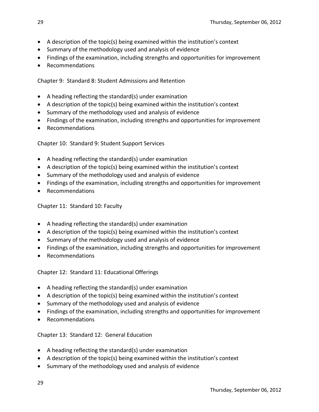- A description of the topic(s) being examined within the institution's context
- Summary of the methodology used and analysis of evidence
- Findings of the examination, including strengths and opportunities for improvement
- Recommendations

Chapter 9: Standard 8: Student Admissions and Retention

- A heading reflecting the standard(s) under examination
- A description of the topic(s) being examined within the institution's context
- Summary of the methodology used and analysis of evidence
- Findings of the examination, including strengths and opportunities for improvement
- Recommendations

Chapter 10: Standard 9: Student Support Services

- A heading reflecting the standard(s) under examination
- A description of the topic(s) being examined within the institution's context
- Summary of the methodology used and analysis of evidence
- Findings of the examination, including strengths and opportunities for improvement
- Recommendations

Chapter 11: Standard 10: Faculty

- A heading reflecting the standard(s) under examination
- A description of the topic(s) being examined within the institution's context
- Summary of the methodology used and analysis of evidence
- Findings of the examination, including strengths and opportunities for improvement
- Recommendations

Chapter 12: Standard 11: Educational Offerings

- A heading reflecting the standard(s) under examination
- A description of the topic(s) being examined within the institution's context
- Summary of the methodology used and analysis of evidence
- Findings of the examination, including strengths and opportunities for improvement
- Recommendations

Chapter 13: Standard 12: General Education

- A heading reflecting the standard(s) under examination
- A description of the topic(s) being examined within the institution's context
- Summary of the methodology used and analysis of evidence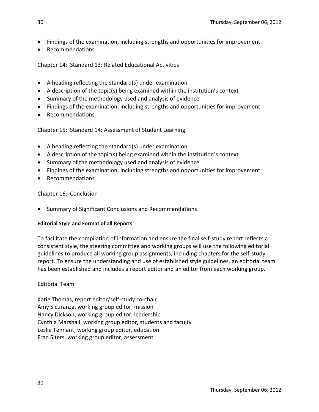- Findings of the examination, including strengths and opportunities for improvement
- Recommendations

## Chapter 14: Standard 13: Related Educational Activities

- A heading reflecting the standard(s) under examination
- A description of the topic(s) being examined within the institution's context
- Summary of the methodology used and analysis of evidence
- Findings of the examination, including strengths and opportunities for improvement
- Recommendations

## Chapter 15: Standard 14: Assessment of Student Learning

- A heading reflecting the standard(s) under examination
- A description of the topic(s) being examined within the institution's context
- Summary of the methodology used and analysis of evidence
- Findings of the examination, including strengths and opportunities for improvement
- Recommendations

#### Chapter 16: Conclusion

• Summary of Significant Conclusions and Recommendations

#### **Editorial Style and Format of all Reports**

To facilitate the compilation of information and ensure the final self-study report reflects a consistent style, the steering committee and working groups will use the following editorial guidelines to produce all working group assignments, including chapters for the self-study report. To ensure the understanding and use of established style guidelines, an editorial team has been established and includes a report editor and an editor from each working group.

#### Editorial Team

Katie Thomas, report editor/self-study co-chair Amy Sicuranza, working group editor, mission Nancy Dickson, working group editor, leadership Cynthia Marshall, working group editor, students and faculty Leslie Tennant, working group editor, education Fran Siters, working group editor, assessment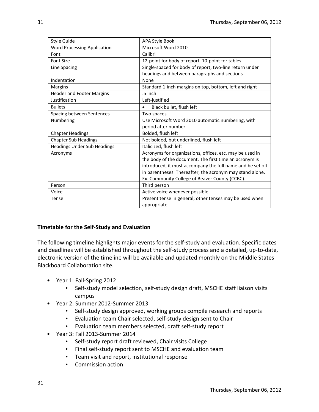| <b>Style Guide</b>                 | APA Style Book                                             |
|------------------------------------|------------------------------------------------------------|
| <b>Word Processing Application</b> | Microsoft Word 2010                                        |
| Font                               | Calibri                                                    |
| <b>Font Size</b>                   | 12-point for body of report, 10-point for tables           |
| Line Spacing                       | Single-spaced for body of report, two-line return under    |
|                                    | headings and between paragraphs and sections               |
| Indentation                        | None                                                       |
| Margins                            | Standard 1-inch margins on top, bottom, left and right     |
| <b>Header and Footer Margins</b>   | .5 inch                                                    |
| Justification                      | Left-justified                                             |
| <b>Bullets</b>                     | Black bullet, flush left<br>$\bullet$                      |
| Spacing between Sentences          | Two spaces                                                 |
| Numbering                          | Use Microsoft Word 2010 automatic numbering, with          |
|                                    | period after number                                        |
| <b>Chapter Headings</b>            | Bolded, flush left                                         |
| <b>Chapter Sub Headings</b>        | Not bolded, but underlined, flush left                     |
| <b>Headings Under Sub Headings</b> | Italicized, flush left                                     |
| Acronyms                           | Acronyms for organizations, offices, etc. may be used in   |
|                                    | the body of the document. The first time an acronym is     |
|                                    | introduced, it must accompany the full name and be set off |
|                                    | in parentheses. Thereafter, the acronym may stand alone.   |
|                                    | Ex. Community College of Beaver County (CCBC).             |
| Person                             | Third person                                               |
| Voice                              | Active voice whenever possible                             |
| Tense                              | Present tense in general; other tenses may be used when    |
|                                    | appropriate                                                |

#### **Timetable for the Self-Study and Evaluation**

The following timeline highlights major events for the self-study and evaluation. Specific dates and deadlines will be established throughout the self-study process and a detailed, up-to-date, electronic version of the timeline will be available and updated monthly on the Middle States Blackboard Collaboration site.

- Year 1: Fall-Spring 2012
	- Self-study model selection, self-study design draft, MSCHE staff liaison visits campus
- Year 2: Summer 2012-Summer 2013
	- Self-study design approved, working groups compile research and reports
	- Evaluation team Chair selected, self-study design sent to Chair
	- Evaluation team members selected, draft self-study report
- Year 3: Fall 2013-Summer 2014
	- Self-study report draft reviewed, Chair visits College
	- Final self-study report sent to MSCHE and evaluation team
	- Team visit and report, institutional response
	- Commission action